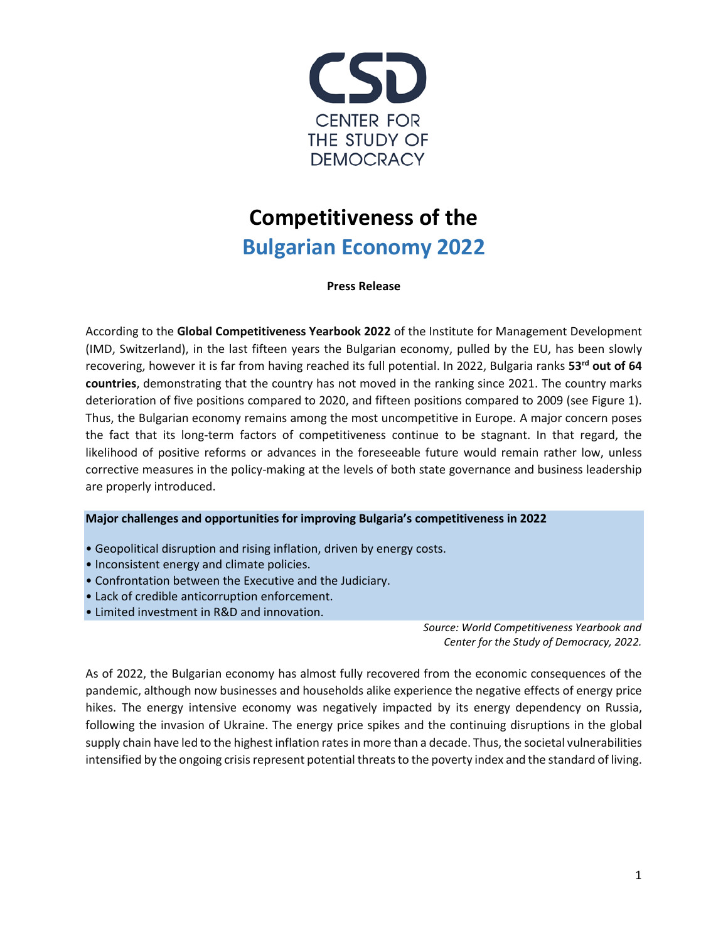

## **Competitiveness of the Bulgarian Economy 2022**

**Press Release**

According to the **Global Competitiveness Yearbook 2022** of the Institute for Management Development (IMD, Switzerland), in the last fifteen years the Bulgarian economy, pulled by the EU, has been slowly recovering, however it is far from having reached its full potential. In 2022, Bulgaria ranks **53rd out of 64 countries**, demonstrating that the country has not moved in the ranking since 2021. The country marks deterioration of five positions compared to 2020, and fifteen positions compared to 2009 (see Figure 1). Thus, the Bulgarian economy remains among the most uncompetitive in Europe. A major concern poses the fact that its long-term factors of competitiveness continue to be stagnant. In that regard, the likelihood of positive reforms or advances in the foreseeable future would remain rather low, unless corrective measures in the policy-making at the levels of both state governance and business leadership are properly introduced.

## **Major challenges and opportunities for improving Bulgaria's competitiveness in 2022**

- Geopolitical disruption and rising inflation, driven by energy costs.
- Inconsistent energy and climate policies.
- Confrontation between the Executive and the Judiciary.
- Lack of credible anticorruption enforcement.
- Limited investment in R&D and innovation.

*Source: World Competitiveness Yearbook and Center for the Study of Democracy, 2022.*

As of 2022, the Bulgarian economy has almost fully recovered from the economic consequences of the pandemic, although now businesses and households alike experience the negative effects of energy price hikes. The energy intensive economy was negatively impacted by its energy dependency on Russia, following the invasion of Ukraine. The energy price spikes and the continuing disruptions in the global supply chain have led to the highest inflation rates in more than a decade. Thus, the societal vulnerabilities intensified by the ongoing crisis represent potential threats to the poverty index and the standard of living.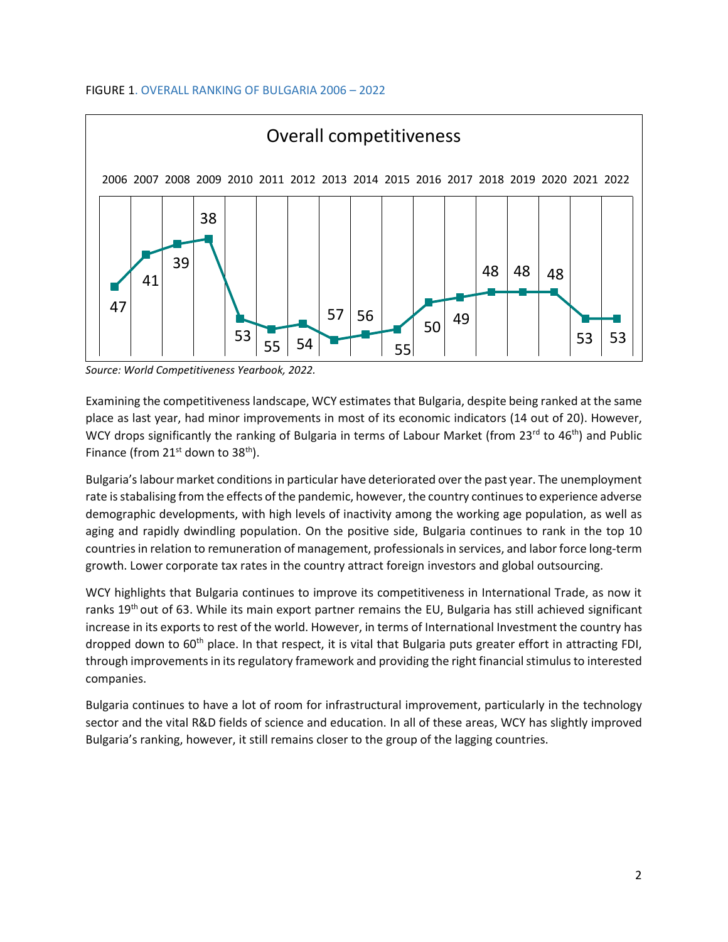

*Source: World Competitiveness Yearbook, 2022.*

Examining the competitiveness landscape, WCY estimates that Bulgaria, despite being ranked at the same place as last year, had minor improvements in most of its economic indicators (14 out of 20). However, WCY drops significantly the ranking of Bulgaria in terms of Labour Market (from 23<sup>rd</sup> to 46<sup>th</sup>) and Public Finance (from  $21^{st}$  down to  $38^{th}$ ).

Bulgaria's labour market conditions in particular have deteriorated over the past year. The unemployment rate is stabalising from the effects of the pandemic, however, the country continues to experience adverse demographic developments, with high levels of inactivity among the working age population, as well as aging and rapidly dwindling population. On the positive side, Bulgaria continues to rank in the top 10 countries in relation to remuneration of management, professionals in services, and labor force long-term growth. Lower corporate tax rates in the country attract foreign investors and global outsourcing.

WCY highlights that Bulgaria continues to improve its competitiveness in International Trade, as now it ranks 19<sup>th</sup> out of 63. While its main export partner remains the EU, Bulgaria has still achieved significant increase in its exports to rest of the world. However, in terms of International Investment the country has dropped down to 60<sup>th</sup> place. In that respect, it is vital that Bulgaria puts greater effort in attracting FDI, through improvements in its regulatory framework and providing the right financial stimulus to interested companies.

Bulgaria continues to have a lot of room for infrastructural improvement, particularly in the technology sector and the vital R&D fields of science and education. In all of these areas, WCY has slightly improved Bulgaria's ranking, however, it still remains closer to the group of the lagging countries.